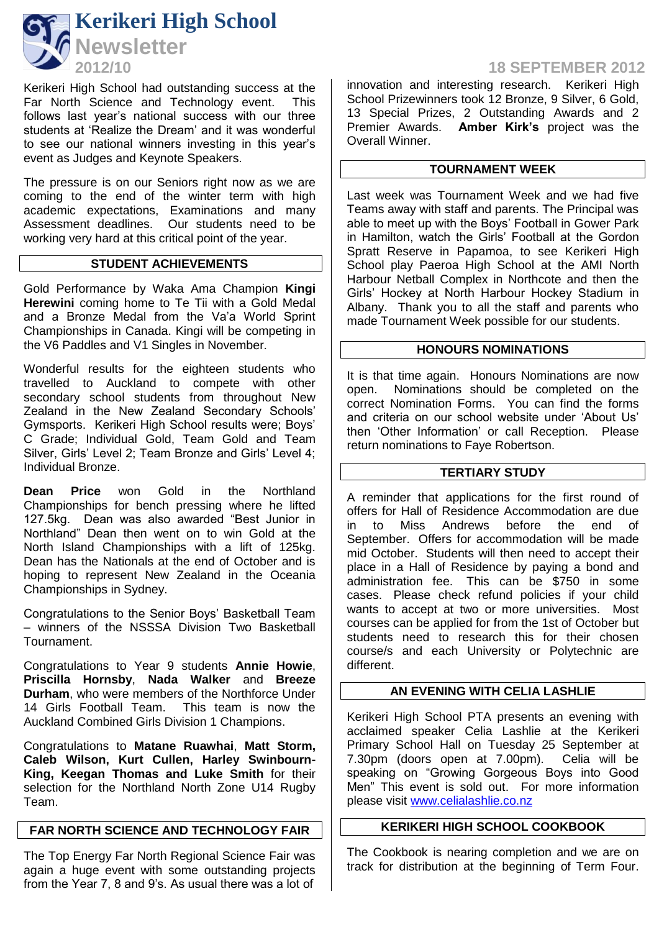

Kerikeri High School had outstanding success at the<br>Far North Science and Technology event. This Far North Science and Technology event. follows last year's national success with our three students at 'Realize the Dream' and it was wonderful to see our national winners investing in this year's event as Judges and Keynote Speakers.

The pressure is on our Seniors right now as we are coming to the end of the winter term with high academic expectations, Examinations and many Assessment deadlines. Our students need to be working very hard at this critical point of the year.

# **STUDENT ACHIEVEMENTS**

Gold Performance by Waka Ama Champion **Kingi Herewini** coming home to Te Tii with a Gold Medal and a Bronze Medal from the Va'a World Sprint Championships in Canada. Kingi will be competing in the V6 Paddles and V1 Singles in November.

Wonderful results for the eighteen students who travelled to Auckland to compete with other secondary school students from throughout New Zealand in the New Zealand Secondary Schools' Gymsports. Kerikeri High School results were; Boys' C Grade; Individual Gold, Team Gold and Team Silver, Girls' Level 2; Team Bronze and Girls' Level 4; Individual Bronze.

**Dean Price** won Gold in the Northland Championships for bench pressing where he lifted 127.5kg. Dean was also awarded "Best Junior in Northland" Dean then went on to win Gold at the North Island Championships with a lift of 125kg. Dean has the Nationals at the end of October and is hoping to represent New Zealand in the Oceania Championships in Sydney.

Congratulations to the Senior Boys' Basketball Team – winners of the NSSSA Division Two Basketball Tournament.

Congratulations to Year 9 students **Annie Howie**, **Priscilla Hornsby**, **Nada Walker** and **Breeze Durham**, who were members of the Northforce Under 14 Girls Football Team. This team is now the Auckland Combined Girls Division 1 Champions.

Congratulations to **Matane Ruawhai**, **Matt Storm, Caleb Wilson, Kurt Cullen, Harley Swinbourn-King, Keegan Thomas and Luke Smith** for their selection for the Northland North Zone U14 Rugby Team.

## **FAR NORTH SCIENCE AND TECHNOLOGY FAIR**

The Top Energy Far North Regional Science Fair was again a huge event with some outstanding projects from the Year 7, 8 and 9's. As usual there was a lot of

# **2012/10 18 SEPTEMBER 2012**

innovation and interesting research. Kerikeri High School Prizewinners took 12 Bronze, 9 Silver, 6 Gold, 13 Special Prizes, 2 Outstanding Awards and 2 Premier Awards. **Amber Kirk's** project was the Overall Winner.

# **TOURNAMENT WEEK**

Last week was Tournament Week and we had five Teams away with staff and parents. The Principal was able to meet up with the Boys' Football in Gower Park in Hamilton, watch the Girls' Football at the Gordon Spratt Reserve in Papamoa, to see Kerikeri High School play Paeroa High School at the AMI North Harbour Netball Complex in Northcote and then the Girls' Hockey at North Harbour Hockey Stadium in Albany. Thank you to all the staff and parents who made Tournament Week possible for our students.

### **HONOURS NOMINATIONS**

It is that time again. Honours Nominations are now open. Nominations should be completed on the correct Nomination Forms. You can find the forms and criteria on our school website under 'About Us' then 'Other Information' or call Reception. Please return nominations to Faye Robertson.

### **TERTIARY STUDY**

A reminder that applications for the first round of offers for Hall of Residence Accommodation are due in to Miss Andrews before the end of September. Offers for accommodation will be made mid October. Students will then need to accept their place in a Hall of Residence by paying a bond and administration fee. This can be \$750 in some cases. Please check refund policies if your child wants to accept at two or more universities. Most courses can be applied for from the 1st of October but students need to research this for their chosen course/s and each University or Polytechnic are different.

# **AN EVENING WITH CELIA LASHLIE**

Kerikeri High School PTA presents an evening with acclaimed speaker Celia Lashlie at the Kerikeri Primary School Hall on Tuesday 25 September at 7.30pm (doors open at 7.00pm). Celia will be speaking on "Growing Gorgeous Boys into Good Men" This event is sold out. For more information please visit [www.celialashlie.co.nz](http://www.celialashlie.co.nz/)

# **KERIKERI HIGH SCHOOL COOKBOOK**

The Cookbook is nearing completion and we are on track for distribution at the beginning of Term Four.